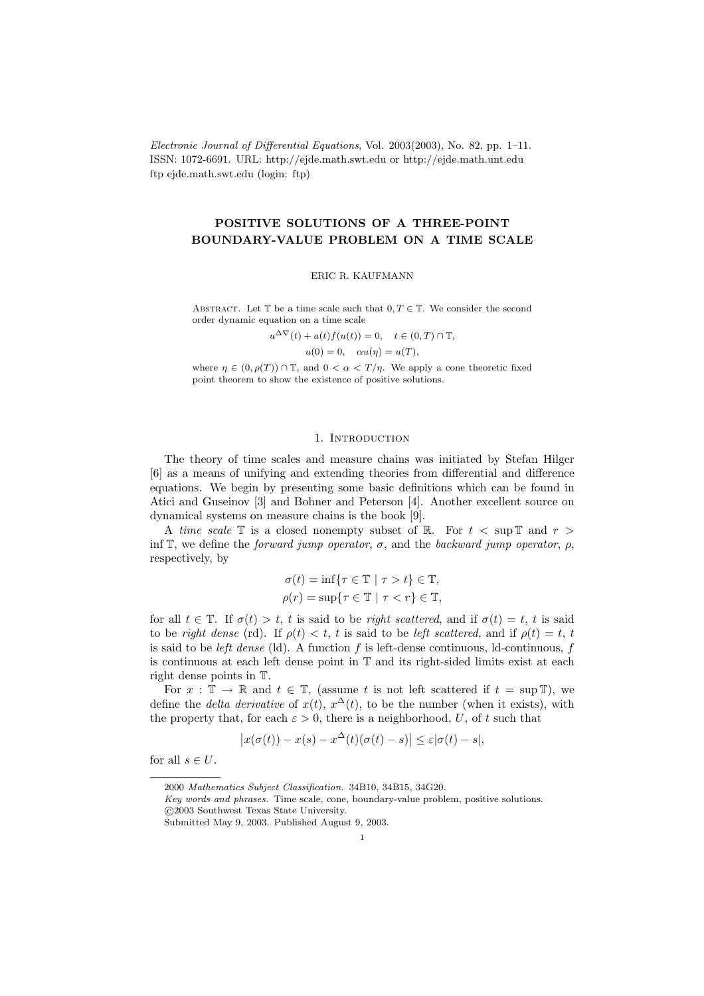Electronic Journal of Differential Equations, Vol. 2003(2003), No. 82, pp. 1–11. ISSN: 1072-6691. URL: http://ejde.math.swt.edu or http://ejde.math.unt.edu ftp ejde.math.swt.edu (login: ftp)

# POSITIVE SOLUTIONS OF A THREE-POINT BOUNDARY-VALUE PROBLEM ON A TIME SCALE

ERIC R. KAUFMANN

ABSTRACT. Let T be a time scale such that  $0, T \in \mathbb{T}$ . We consider the second order dynamic equation on a time scale

 $u^{\Delta \nabla}(t) + a(t) f(u(t)) = 0, \quad t \in (0, T) \cap \mathbb{T},$ 

 $u(0) = 0$ ,  $\alpha u(\eta) = u(T)$ ,

where  $\eta \in (0, \rho(T)) \cap \mathbb{T}$ , and  $0 < \alpha < T/\eta$ . We apply a cone theoretic fixed point theorem to show the existence of positive solutions.

### 1. INTRODUCTION

The theory of time scales and measure chains was initiated by Stefan Hilger [6] as a means of unifying and extending theories from differential and difference equations. We begin by presenting some basic definitions which can be found in Atici and Guseinov [3] and Bohner and Peterson [4]. Another excellent source on dynamical systems on measure chains is the book [9].

A time scale  $\mathbb T$  is a closed nonempty subset of  $\mathbb R$ . For  $t < \sup \mathbb T$  and  $r >$ inf T, we define the *forward jump operator*,  $\sigma$ , and the *backward jump operator*,  $\rho$ , respectively, by

$$
\sigma(t) = \inf \{ \tau \in \mathbb{T} \mid \tau > t \} \in \mathbb{T},
$$
  

$$
\rho(r) = \sup \{ \tau \in \mathbb{T} \mid \tau < r \} \in \mathbb{T},
$$

for all  $t \in \mathbb{T}$ . If  $\sigma(t) > t$ , t is said to be right scattered, and if  $\sigma(t) = t$ , t is said to be right dense (rd). If  $\rho(t) < t$ , t is said to be left scattered, and if  $\rho(t) = t$ , t is said to be *left dense* (ld). A function f is left-dense continuous, ld-continuous, f is continuous at each left dense point in T and its right-sided limits exist at each right dense points in T.

For  $x : \mathbb{T} \to \mathbb{R}$  and  $t \in \mathbb{T}$ , (assume t is not left scattered if  $t = \sup \mathbb{T}$ ), we define the *delta derivative* of  $x(t)$ ,  $x^{\Delta}(t)$ , to be the number (when it exists), with the property that, for each  $\varepsilon > 0$ , there is a neighborhood, U, of t such that

$$
\left|x(\sigma(t))-x(s)-x^{\Delta}(t)(\sigma(t)-s)\right|\leq \varepsilon|\sigma(t)-s|,
$$

for all  $s \in U$ .

<sup>2000</sup> Mathematics Subject Classification. 34B10, 34B15, 34G20.

Key words and phrases. Time scale, cone, boundary-value problem, positive solutions.

c 2003 Southwest Texas State University.

Submitted May 9, 2003. Published August 9, 2003.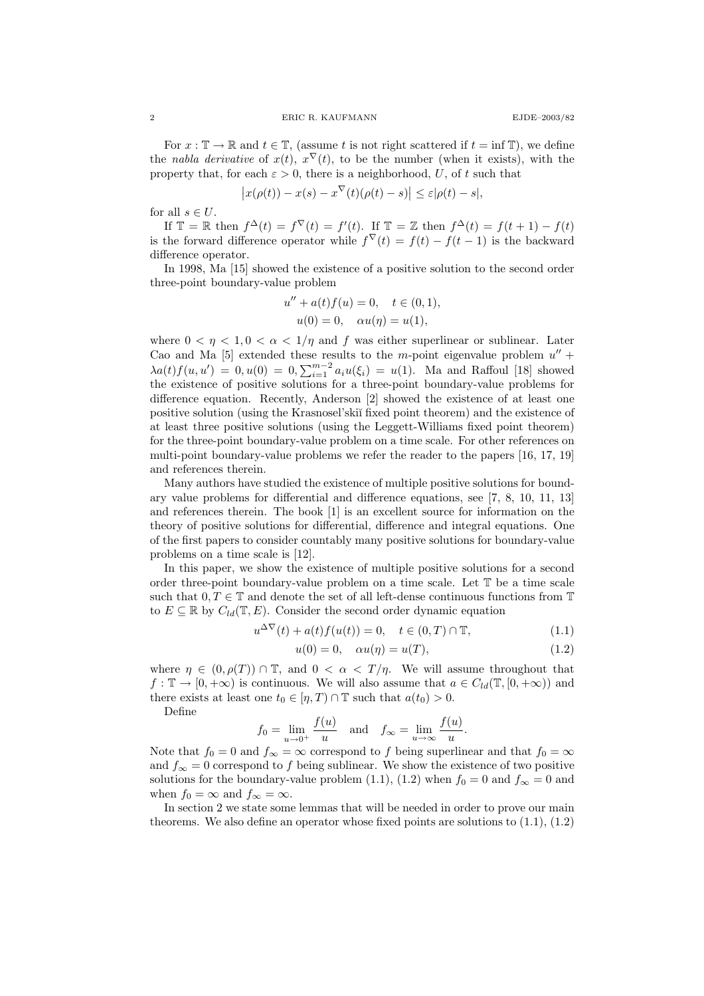For  $x : \mathbb{T} \to \mathbb{R}$  and  $t \in \mathbb{T}$ , (assume t is not right scattered if  $t = \inf \mathbb{T}$ ), we define the nabla derivative of  $x(t)$ ,  $x^{\nabla}(t)$ , to be the number (when it exists), with the property that, for each  $\varepsilon > 0$ , there is a neighborhood, U, of t such that

$$
\left|x(\rho(t)) - x(s) - x^{\nabla}(t)(\rho(t) - s)\right| \leq \varepsilon |\rho(t) - s|,
$$

for all  $s\in U.$ 

If  $\mathbb{T} = \mathbb{R}$  then  $f^{\Delta}(t) = f^{\nabla}(t) = f'(t)$ . If  $\mathbb{T} = \mathbb{Z}$  then  $f^{\Delta}(t) = f(t+1) - f(t)$ is the forward difference operator while  $f^{\nabla}(t) = f(t) - f(t-1)$  is the backward difference operator.

In 1998, Ma [15] showed the existence of a positive solution to the second order three-point boundary-value problem

$$
u'' + a(t)f(u) = 0, \quad t \in (0, 1),
$$
  

$$
u(0) = 0, \quad \alpha u(\eta) = u(1),
$$

where  $0 < \eta < 1, 0 < \alpha < 1/\eta$  and f was either superlinear or sublinear. Later Cao and Ma [5] extended these results to the m-point eigenvalue problem  $u''$  +  $\lambda a(t) f(u, u') = 0, u(0) = 0, \sum_{i=1}^{m-2} a_i u(\xi_i) = u(1)$ . Ma and Raffoul [18] showed the existence of positive solutions for a three-point boundary-value problems for difference equation. Recently, Anderson [2] showed the existence of at least one positive solution (using the Krasnosel'ski˘ı fixed point theorem) and the existence of at least three positive solutions (using the Leggett-Williams fixed point theorem) for the three-point boundary-value problem on a time scale. For other references on multi-point boundary-value problems we refer the reader to the papers [16, 17, 19] and references therein.

Many authors have studied the existence of multiple positive solutions for boundary value problems for differential and difference equations, see [7, 8, 10, 11, 13] and references therein. The book [1] is an excellent source for information on the theory of positive solutions for differential, difference and integral equations. One of the first papers to consider countably many positive solutions for boundary-value problems on a time scale is [12].

In this paper, we show the existence of multiple positive solutions for a second order three-point boundary-value problem on a time scale. Let T be a time scale such that  $0, T \in \mathbb{T}$  and denote the set of all left-dense continuous functions from  $\mathbb{T}$ to  $E \subseteq \mathbb{R}$  by  $C_{ld}(\mathbb{T}, E)$ . Consider the second order dynamic equation

$$
u^{\Delta \nabla}(t) + a(t)f(u(t)) = 0, \quad t \in (0, T) \cap \mathbb{T}, \tag{1.1}
$$

$$
u(0) = 0, \quad \alpha u(\eta) = u(T), \tag{1.2}
$$

where  $\eta \in (0, \rho(T)) \cap \mathbb{T}$ , and  $0 < \alpha < T/\eta$ . We will assume throughout that  $f: \mathbb{T} \to [0, +\infty)$  is continuous. We will also assume that  $a \in C_{ld}(\mathbb{T}, [0, +\infty))$  and there exists at least one  $t_0 \in [\eta, T] \cap \mathbb{T}$  such that  $a(t_0) > 0$ .

Define

$$
f_0 = \lim_{u \to 0^+} \frac{f(u)}{u}
$$
 and  $f_\infty = \lim_{u \to \infty} \frac{f(u)}{u}$ .

Note that  $f_0 = 0$  and  $f_{\infty} = \infty$  correspond to f being superlinear and that  $f_0 = \infty$ and  $f_{\infty} = 0$  correspond to f being sublinear. We show the existence of two positive solutions for the boundary-value problem (1.1), (1.2) when  $f_0 = 0$  and  $f_{\infty} = 0$  and when  $f_0 = \infty$  and  $f_\infty = \infty$ .

In section 2 we state some lemmas that will be needed in order to prove our main theorems. We also define an operator whose fixed points are solutions to (1.1), (1.2)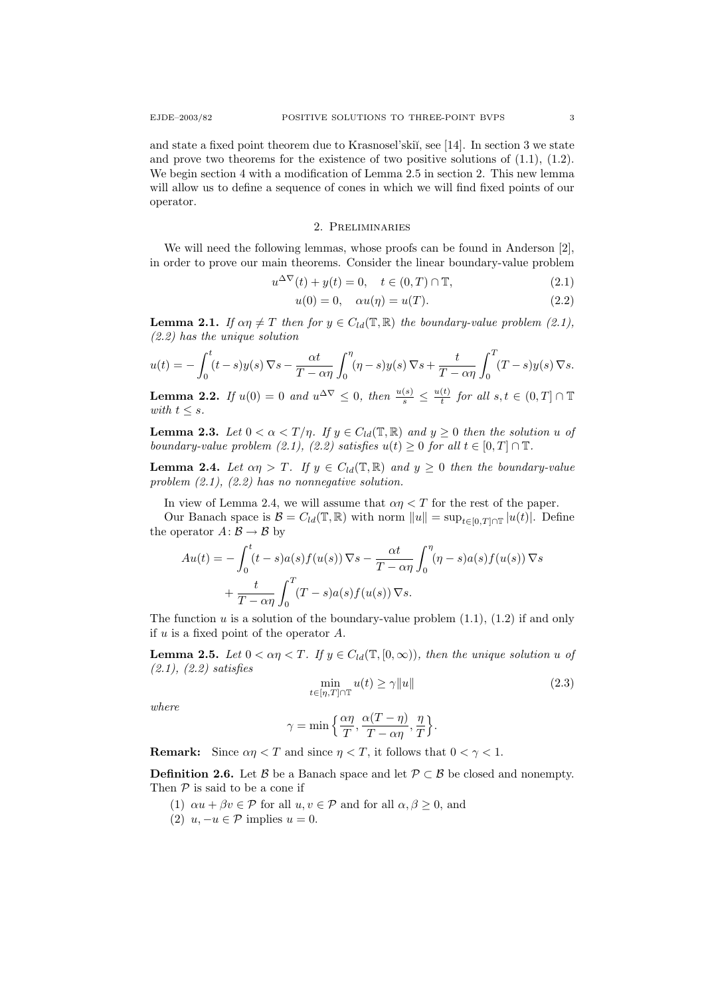and state a fixed point theorem due to Krasnosel'skiı̆, see  $[14]$ . In section 3 we state and prove two theorems for the existence of two positive solutions of  $(1.1)$ ,  $(1.2)$ . We begin section 4 with a modification of Lemma 2.5 in section 2. This new lemma will allow us to define a sequence of cones in which we will find fixed points of our operator.

# 2. Preliminaries

We will need the following lemmas, whose proofs can be found in Anderson [2], in order to prove our main theorems. Consider the linear boundary-value problem

$$
u^{\Delta \nabla}(t) + y(t) = 0, \quad t \in (0, T) \cap \mathbb{T}, \tag{2.1}
$$

$$
u(0) = 0, \quad \alpha u(\eta) = u(T). \tag{2.2}
$$

**Lemma 2.1.** If  $\alpha \eta \neq T$  then for  $y \in C_{ld}(\mathbb{T}, \mathbb{R})$  the boundary-value problem (2.1), (2.2) has the unique solution

$$
u(t) = -\int_0^t (t-s)y(s)\,\nabla s - \frac{\alpha t}{T-\alpha\eta}\int_0^\eta (\eta-s)y(s)\,\nabla s + \frac{t}{T-\alpha\eta}\int_0^T (T-s)y(s)\,\nabla s.
$$

**Lemma 2.2.** If  $u(0) = 0$  and  $u^{\Delta \nabla} \leq 0$ , then  $\frac{u(s)}{s} \leq \frac{u(t)}{t}$  $\frac{(t)}{t}$  for all  $s,t \in (0,T] \cap \mathbb{T}$ with  $t \leq s$ .

**Lemma 2.3.** Let  $0 < \alpha < T/\eta$ . If  $y \in C_{ld}(\mathbb{T}, \mathbb{R})$  and  $y \ge 0$  then the solution u of boundary-value problem (2.1), (2.2) satisfies  $u(t) \geq 0$  for all  $t \in [0, T] \cap \mathbb{T}$ .

**Lemma 2.4.** Let  $\alpha \eta > T$ . If  $y \in C_{ld}(\mathbb{T}, \mathbb{R})$  and  $y \geq 0$  then the boundary-value problem  $(2.1)$ ,  $(2.2)$  has no nonnegative solution.

In view of Lemma 2.4, we will assume that  $\alpha \eta < T$  for the rest of the paper.

Our Banach space is  $\mathcal{B} = C_{ld}(\mathbb{T}, \mathbb{R})$  with norm  $||u|| = \sup_{t \in [0, T] \cap \mathbb{T}} |u(t)|$ . Define the operator  $A\colon \mathcal{B} \to \mathcal{B}$  by

$$
Au(t) = -\int_0^t (t - s)a(s)f(u(s)) \nabla s - \frac{\alpha t}{T - \alpha \eta} \int_0^{\eta} (\eta - s)a(s)f(u(s)) \nabla s
$$

$$
+ \frac{t}{T - \alpha \eta} \int_0^T (T - s)a(s)f(u(s)) \nabla s.
$$

The function  $u$  is a solution of the boundary-value problem  $(1.1)$ ,  $(1.2)$  if and only if  $u$  is a fixed point of the operator  $A$ .

**Lemma 2.5.** Let  $0 < \alpha \eta < T$ . If  $y \in C_{ld}(\mathbb{T}, [0, \infty))$ , then the unique solution u of (2.1), (2.2) satisfies

$$
\min_{t \in [\eta, T] \cap \mathbb{T}} u(t) \ge \gamma \|u\| \tag{2.3}
$$

where

$$
\gamma = \min\left\{\frac{\alpha \eta}{T}, \frac{\alpha (T - \eta)}{T - \alpha \eta}, \frac{\eta}{T}\right\}.
$$

**Remark:** Since  $\alpha \eta < T$  and since  $\eta < T$ , it follows that  $0 < \gamma < 1$ .

**Definition 2.6.** Let B be a Banach space and let  $\mathcal{P} \subset \mathcal{B}$  be closed and nonempty. Then  $P$  is said to be a cone if

- (1)  $\alpha u + \beta v \in \mathcal{P}$  for all  $u, v \in \mathcal{P}$  and for all  $\alpha, \beta \geq 0$ , and
- (2)  $u, -u \in \mathcal{P}$  implies  $u = 0$ .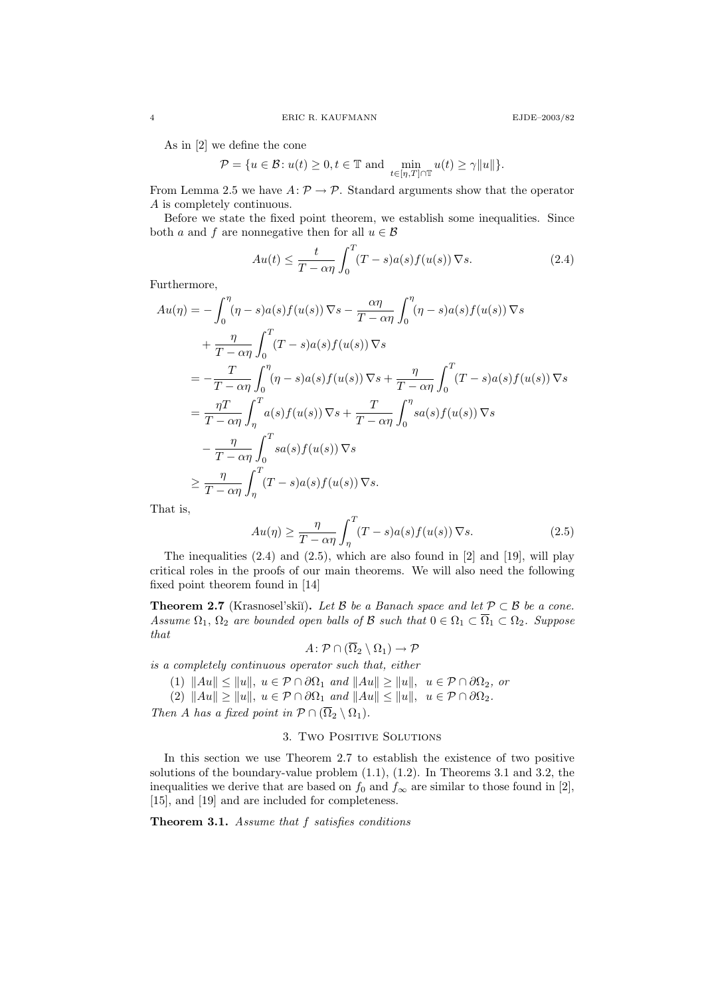As in [2] we define the cone

$$
\mathcal{P} = \{ u \in \mathcal{B} : u(t) \ge 0, t \in \mathbb{T} \text{ and } \min_{t \in [\eta, T] \cap \mathbb{T}} u(t) \ge \gamma ||u|| \}.
$$

From Lemma 2.5 we have  $A: \mathcal{P} \to \mathcal{P}$ . Standard arguments show that the operator A is completely continuous.

Before we state the fixed point theorem, we establish some inequalities. Since both a and f are nonnegative then for all  $u \in \mathcal{B}$ 

$$
Au(t) \le \frac{t}{T - \alpha \eta} \int_0^T (T - s)a(s)f(u(s)) \nabla s.
$$
 (2.4)

Furthermore,

$$
Au(\eta) = -\int_0^{\eta} (\eta - s)a(s)f(u(s)) \nabla s - \frac{\alpha \eta}{T - \alpha \eta} \int_0^{\eta} (\eta - s)a(s)f(u(s)) \nabla s
$$
  
+ 
$$
\frac{\eta}{T - \alpha \eta} \int_0^T (T - s)a(s)f(u(s)) \nabla s
$$
  
= 
$$
-\frac{T}{T - \alpha \eta} \int_0^{\eta} (\eta - s)a(s)f(u(s)) \nabla s + \frac{\eta}{T - \alpha \eta} \int_0^T (T - s)a(s)f(u(s)) \nabla s
$$
  
= 
$$
\frac{\eta T}{T - \alpha \eta} \int_{\eta}^T a(s)f(u(s)) \nabla s + \frac{T}{T - \alpha \eta} \int_0^{\eta} sa(s)f(u(s)) \nabla s
$$
  

$$
- \frac{\eta}{T - \alpha \eta} \int_0^T s a(s)f(u(s)) \nabla s
$$
  

$$
\geq \frac{\eta}{T - \alpha \eta} \int_{\eta}^T (T - s)a(s)f(u(s)) \nabla s.
$$

That is,

$$
Au(\eta) \ge \frac{\eta}{T - \alpha \eta} \int_{\eta}^{T} (T - s)a(s)f(u(s)) \nabla s.
$$
 (2.5)

The inequalities  $(2.4)$  and  $(2.5)$ , which are also found in  $[2]$  and  $[19]$ , will play critical roles in the proofs of our main theorems. We will also need the following fixed point theorem found in [14]

**Theorem 2.7** (Krasnosel'skiĭ). Let B be a Banach space and let  $P \subset B$  be a cone. Assume  $\Omega_1$ ,  $\Omega_2$  are bounded open balls of B such that  $0 \in \Omega_1 \subset \overline{\Omega}_1 \subset \Omega_2$ . Suppose that

$$
A \colon \mathcal{P} \cap (\overline{\Omega}_2 \setminus \Omega_1) \to \mathcal{P}
$$

is a completely continuous operator such that, either

(1)  $\|Au\| \le \|u\|, u \in \mathcal{P} \cap \partial\Omega_1 \text{ and } \|Au\| \ge \|u\|, u \in \mathcal{P} \cap \partial\Omega_2 \text{, or }$ 

(2)  $||Au|| \ge ||u||$ ,  $u \in \mathcal{P} \cap \partial \Omega_1$  and  $||Au|| \le ||u||$ ,  $u \in \mathcal{P} \cap \partial \Omega_2$ .

Then A has a fixed point in  $\mathcal{P} \cap (\overline{\Omega}_2 \setminus \Omega_1)$ .

# 3. Two Positive Solutions

In this section we use Theorem 2.7 to establish the existence of two positive solutions of the boundary-value problem (1.1), (1.2). In Theorems 3.1 and 3.2, the inequalities we derive that are based on  $f_0$  and  $f_\infty$  are similar to those found in [2], [15], and [19] and are included for completeness.

Theorem 3.1. Assume that f satisfies conditions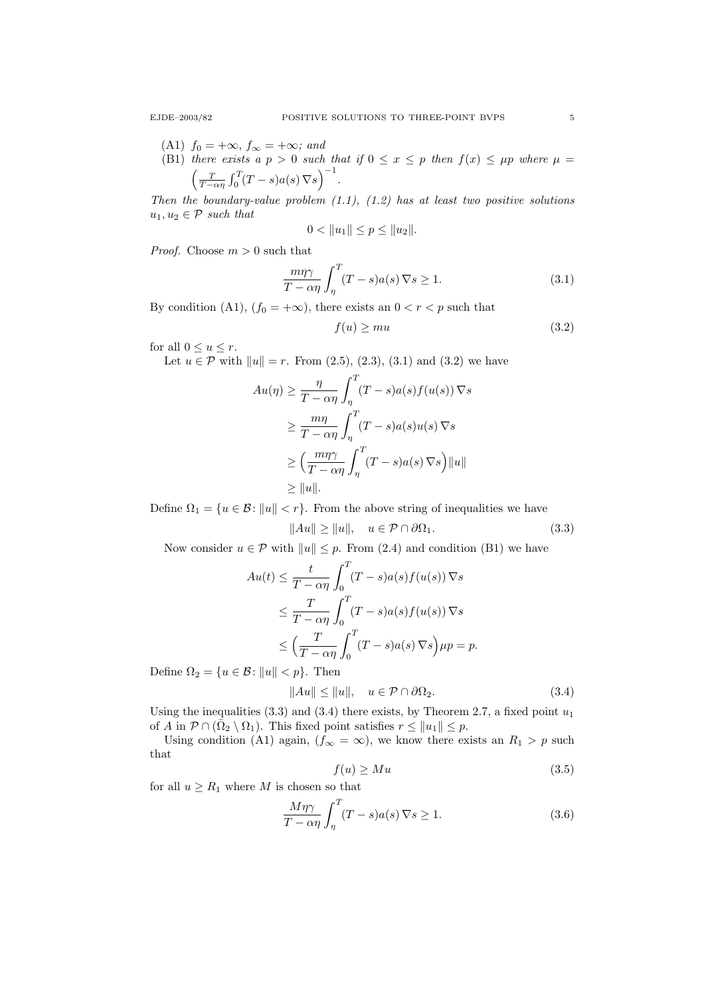- (A1)  $f_0 = +\infty$ ,  $f_\infty = +\infty$ ; and
- (B1) there exists a  $p > 0$  such that if  $0 \le x \le p$  then  $f(x) \le \mu p$  where  $\mu =$  $\left(\frac{T}{T-\alpha\eta}\int_0^T (T-s)a(s)\nabla s\right)^{-1}.$

Then the boundary-value problem  $(1.1)$ ,  $(1.2)$  has at least two positive solutions  $u_1, u_2 \in \mathcal{P}$  such that

$$
0 < ||u_1|| \le p \le ||u_2||.
$$

*Proof.* Choose  $m > 0$  such that

$$
\frac{m\eta\gamma}{T-\alpha\eta} \int_{\eta}^{T} (T-s)a(s)\,\nabla s \ge 1.
$$
\n(3.1)

By condition (A1),  $(f_0 = +\infty)$ , there exists an  $0 < r < p$  such that

$$
f(u) \ge mu \tag{3.2}
$$

for all  $0 \le u \le r$ .

Let  $u \in \mathcal{P}$  with  $||u|| = r$ . From (2.5), (2.3), (3.1) and (3.2) we have

$$
Au(\eta) \ge \frac{\eta}{T - \alpha \eta} \int_{\eta}^{T} (T - s)a(s)f(u(s)) \nabla s
$$
  
\n
$$
\ge \frac{m\eta}{T - \alpha \eta} \int_{\eta}^{T} (T - s)a(s)u(s) \nabla s
$$
  
\n
$$
\ge \left(\frac{m\eta \gamma}{T - \alpha \eta} \int_{\eta}^{T} (T - s)a(s) \nabla s\right) ||u||
$$
  
\n
$$
\ge ||u||.
$$

Define  $\Omega_1 = \{u \in \mathcal{B}: ||u|| < r\}$ . From the above string of inequalities we have

$$
||Au|| \ge ||u||, \quad u \in \mathcal{P} \cap \partial \Omega_1. \tag{3.3}
$$

Now consider  $u \in \mathcal{P}$  with  $||u|| \leq p$ . From (2.4) and condition (B1) we have

$$
Au(t) \leq \frac{t}{T - \alpha \eta} \int_0^T (T - s)a(s)f(u(s)) \nabla s
$$
  
\n
$$
\leq \frac{T}{T - \alpha \eta} \int_0^T (T - s)a(s)f(u(s)) \nabla s
$$
  
\n
$$
\leq \left(\frac{T}{T - \alpha \eta} \int_0^T (T - s)a(s) \nabla s\right) \mu p = p.
$$

Define  $\Omega_2 = \{u \in \mathcal{B} : ||u|| < p\}$ . Then

$$
||Au|| \le ||u||, \quad u \in \mathcal{P} \cap \partial \Omega_2. \tag{3.4}
$$

Using the inequalities  $(3.3)$  and  $(3.4)$  there exists, by Theorem 2.7, a fixed point  $u_1$ of A in  $P \cap (\bar{\Omega}_2 \setminus \Omega_1)$ . This fixed point satisfies  $r \leq ||u_1|| \leq p$ .

Using condition (A1) again,  $(f_{\infty} = \infty)$ , we know there exists an  $R_1 > p$  such that

$$
f(u) \geq Mu \tag{3.5}
$$

for all  $u \geq R_1$  where M is chosen so that

$$
\frac{M\eta\gamma}{T-\alpha\eta} \int_{\eta}^{T} (T-s)a(s)\,\nabla s \ge 1.
$$
\n(3.6)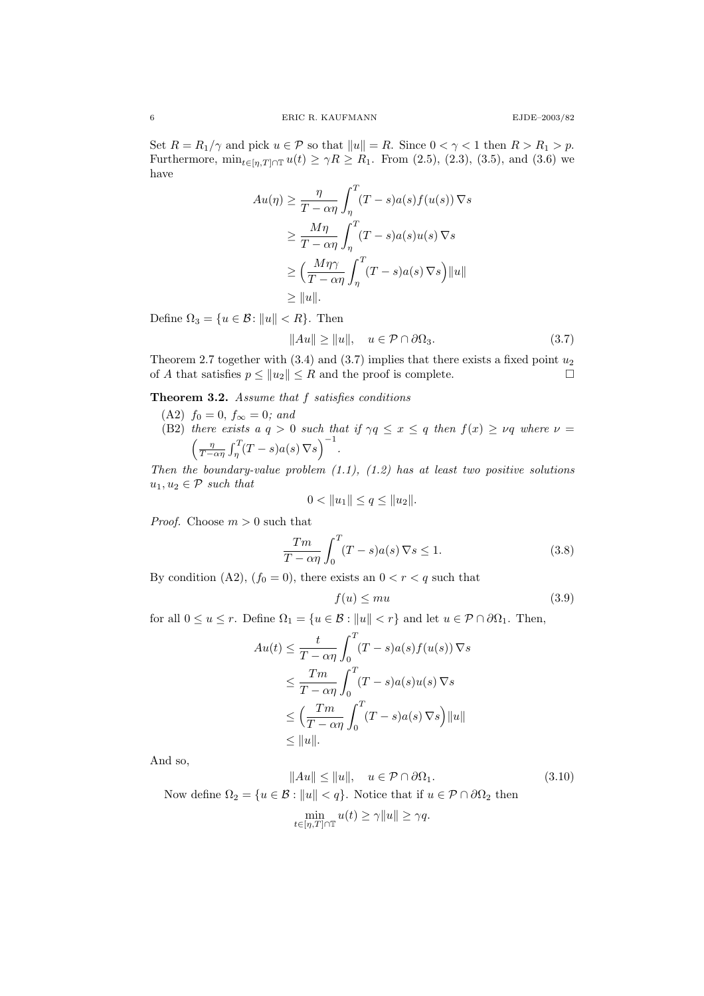Set  $R = R_1/\gamma$  and pick  $u \in \mathcal{P}$  so that  $||u|| = R$ . Since  $0 < \gamma < 1$  then  $R > R_1 > p$ . Furthermore,  $\min_{t \in [\eta, T] \cap \mathbb{T}} u(t) \geq \gamma R \geq R_1$ . From (2.5), (2.3), (3.5), and (3.6) we have

$$
Au(\eta) \ge \frac{\eta}{T - \alpha \eta} \int_{\eta}^{T} (T - s) a(s) f(u(s)) \nabla s
$$
  
\n
$$
\ge \frac{M\eta}{T - \alpha \eta} \int_{\eta}^{T} (T - s) a(s) u(s) \nabla s
$$
  
\n
$$
\ge \left(\frac{M\eta \gamma}{T - \alpha \eta} \int_{\eta}^{T} (T - s) a(s) \nabla s\right) ||u||
$$
  
\n
$$
\ge ||u||.
$$

Define  $\Omega_3 = \{u \in \mathcal{B} : ||u|| < R\}$ . Then

$$
||Au|| \ge ||u||, \quad u \in \mathcal{P} \cap \partial \Omega_3. \tag{3.7}
$$

Theorem 2.7 together with  $(3.4)$  and  $(3.7)$  implies that there exists a fixed point  $u_2$ of A that satisfies  $p \le ||u_2|| \le R$  and the proof is complete.

Theorem 3.2. Assume that f satisfies conditions

- (A2)  $f_0 = 0, f_{\infty} = 0$ ; and
- (B2) there exists a  $q > 0$  such that if  $\gamma q \leq x \leq q$  then  $f(x) \geq \nu q$  where  $\nu =$  $\left(\frac{\eta}{T-\alpha\eta}\int_{\eta}^{T}(T-s)a(s)\nabla s\right)^{-1}.$

Then the boundary-value problem  $(1.1)$ ,  $(1.2)$  has at least two positive solutions  $u_1, u_2 \in \mathcal{P}$  such that

$$
0 < ||u_1|| \le q \le ||u_2||.
$$

*Proof.* Choose  $m > 0$  such that

$$
\frac{Tm}{T - \alpha \eta} \int_0^T (T - s)a(s) \, \nabla s \le 1.
$$
\n(3.8)

By condition (A2),  $(f_0 = 0)$ , there exists an  $0 < r < q$  such that

$$
f(u) \le mu \tag{3.9}
$$

for all  $0 \le u \le r$ . Define  $\Omega_1 = \{u \in \mathcal{B} : ||u|| < r\}$  and let  $u \in \mathcal{P} \cap \partial \Omega_1$ . Then,

$$
Au(t) \leq \frac{t}{T - \alpha \eta} \int_0^T (T - s)a(s)f(u(s)) \nabla s
$$
  
\n
$$
\leq \frac{Tm}{T - \alpha \eta} \int_0^T (T - s)a(s)u(s) \nabla s
$$
  
\n
$$
\leq \left(\frac{Tm}{T - \alpha \eta} \int_0^T (T - s)a(s) \nabla s\right) ||u||
$$
  
\n
$$
\leq ||u||.
$$

And so,

$$
||Au|| \le ||u||, \quad u \in \mathcal{P} \cap \partial \Omega_1.
$$
\nNow define  $\Omega_2 = \{u \in \mathcal{B} : ||u|| < q\}$ . Notice that if  $u \in \mathcal{P} \cap \partial \Omega_2$  then

\n
$$
\min_{t \in [\eta, T] \cap \mathbb{T}} u(t) \ge \gamma ||u|| \ge \gamma q.
$$
\n(3.10)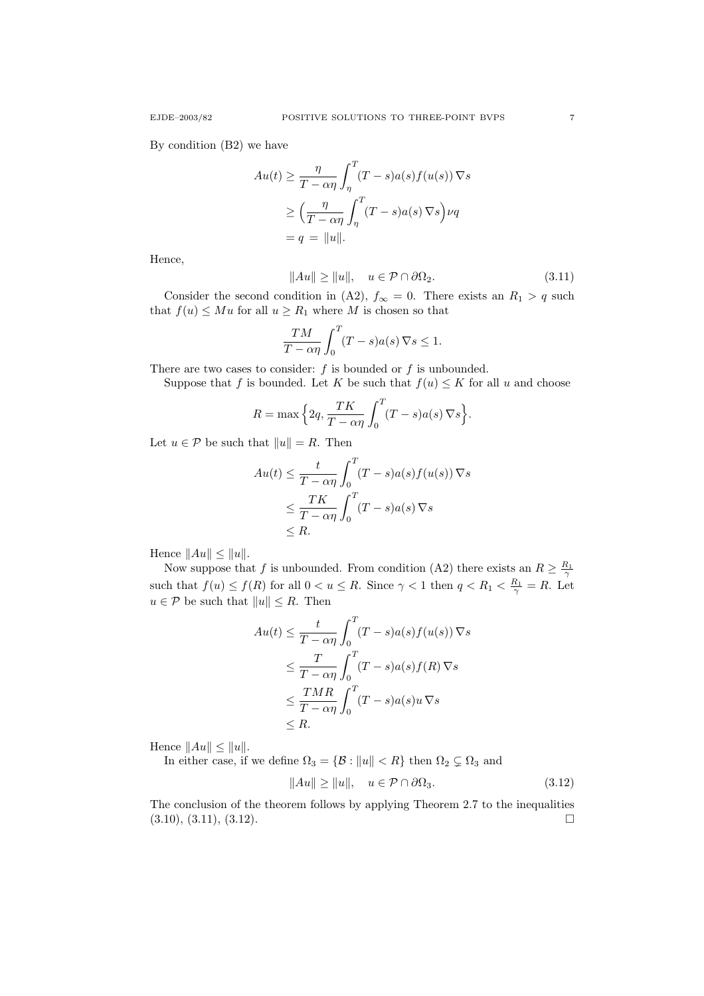By condition (B2) we have

$$
Au(t) \ge \frac{\eta}{T - \alpha \eta} \int_{\eta}^{T} (T - s) a(s) f(u(s)) \nabla s
$$

$$
\ge \left( \frac{\eta}{T - \alpha \eta} \int_{\eta}^{T} (T - s) a(s) \nabla s \right) \nu q
$$

$$
= q = ||u||.
$$

Hence,

$$
||Au|| \ge ||u||, \quad u \in \mathcal{P} \cap \partial \Omega_2. \tag{3.11}
$$

Consider the second condition in (A2),  $f_{\infty} = 0$ . There exists an  $R_1 > q$  such that  $f(u) \leq Mu$  for all  $u \geq R_1$  where M is chosen so that

$$
\frac{TM}{T-\alpha\eta} \int_0^T (T-s)a(s)\,\nabla s \le 1.
$$

There are two cases to consider:  $f$  is bounded or  $f$  is unbounded.

Suppose that f is bounded. Let K be such that  $f(u) \leq K$  for all u and choose

$$
R = \max\Big\{2q, \frac{TK}{T - \alpha\eta} \int_0^T (T - s)a(s) \nabla s\Big\}.
$$

Let  $u \in \mathcal{P}$  be such that  $||u|| = R$ . Then

$$
Au(t) \leq \frac{t}{T - \alpha \eta} \int_0^T (T - s)a(s)f(u(s)) \nabla s
$$
  
\n
$$
\leq \frac{TK}{T - \alpha \eta} \int_0^T (T - s)a(s) \nabla s
$$
  
\n
$$
\leq R.
$$

Hence  $||Au|| \leq ||u||$ .

Now suppose that f is unbounded. From condition (A2) there exists an  $R \geq \frac{R_1}{\gamma}$ such that  $f(u) \le f(R)$  for all  $0 < u \le R$ . Since  $\gamma < 1$  then  $q < R_1 < \frac{R_1}{\gamma} = R$ . Let  $u \in \mathcal{P}$  be such that  $||u|| \leq R$ . Then

$$
Au(t) \leq \frac{t}{T - \alpha \eta} \int_0^T (T - s)a(s)f(u(s)) \nabla s
$$
  
\n
$$
\leq \frac{T}{T - \alpha \eta} \int_0^T (T - s)a(s)f(R) \nabla s
$$
  
\n
$$
\leq \frac{TMR}{T - \alpha \eta} \int_0^T (T - s)a(s)u \nabla s
$$
  
\n
$$
\leq R.
$$

Hence  $||Au|| \leq ||u||$ .

In either case, if we define  $\Omega_3 = \{ \mathcal{B} : ||u|| < R \}$  then  $\Omega_2 \subsetneq \Omega_3$  and

$$
||Au|| \ge ||u||, \quad u \in \mathcal{P} \cap \partial \Omega_3. \tag{3.12}
$$

The conclusion of the theorem follows by applying Theorem 2.7 to the inequalities  $(3.10), (3.11), (3.12).$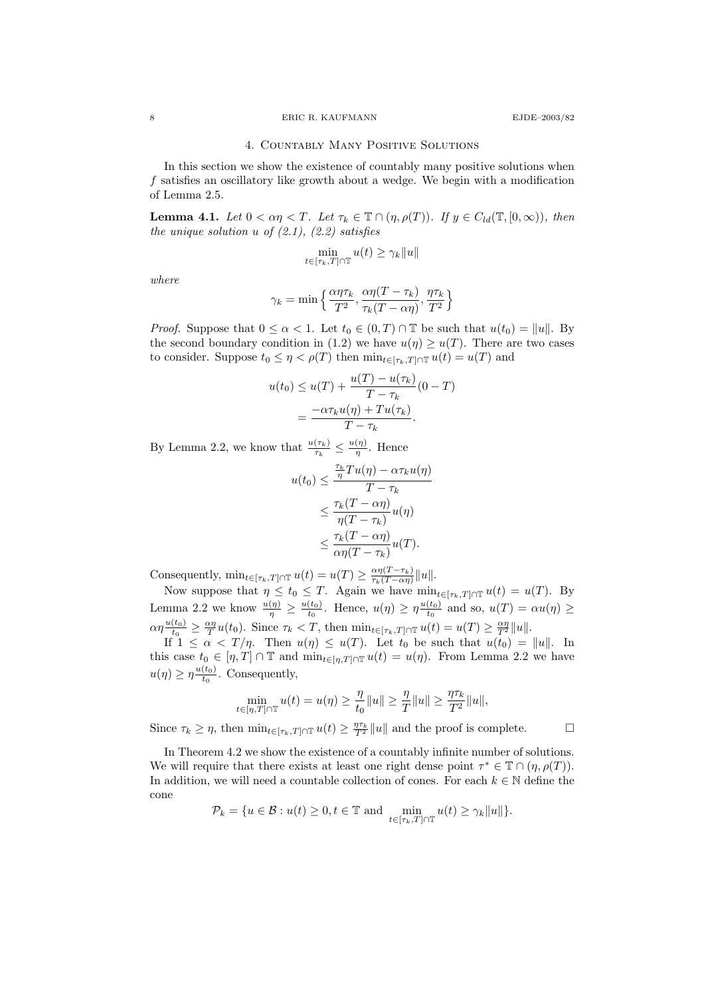### 8 ERIC R. KAUFMANN EJDE–2003/82

#### 4. Countably Many Positive Solutions

In this section we show the existence of countably many positive solutions when f satisfies an oscillatory like growth about a wedge. We begin with a modification of Lemma 2.5.

**Lemma 4.1.** Let  $0 < \alpha \eta < T$ . Let  $\tau_k \in \mathbb{T} \cap (\eta, \rho(T))$ . If  $y \in C_{ld}(\mathbb{T}, [0, \infty))$ , then the unique solution u of  $(2.1)$ ,  $(2.2)$  satisfies

$$
\min_{t \in [\tau_k, T] \cap \mathbb{T}} u(t) \ge \gamma_k ||u||
$$

where

$$
\gamma_k = \min\left\{\frac{\alpha\eta\tau_k}{T^2}, \frac{\alpha\eta(T-\tau_k)}{\tau_k(T-\alpha\eta)}, \frac{\eta\tau_k}{T^2}\right\}
$$

*Proof.* Suppose that  $0 \le \alpha < 1$ . Let  $t_0 \in (0, T) \cap \mathbb{T}$  be such that  $u(t_0) = ||u||$ . By the second boundary condition in (1.2) we have  $u(\eta) \geq u(T)$ . There are two cases to consider. Suppose  $t_0 \leq \eta < \rho(T)$  then  $\min_{t \in [\tau_k, T] \cap \mathbb{T}} u(t) = u(T)$  and

$$
u(t_0) \le u(T) + \frac{u(T) - u(\tau_k)}{T - \tau_k} (0 - T)
$$

$$
= \frac{-\alpha \tau_k u(\eta) + Tu(\tau_k)}{T - \tau_k}.
$$

By Lemma 2.2, we know that  $\frac{u(\tau_k)}{\tau_k} \leq \frac{u(\eta)}{\eta}$  $\frac{(\eta)}{\eta}$ . Hence

$$
u(t_0) \leq \frac{\frac{\tau_k}{\eta} T u(\eta) - \alpha \tau_k u(\eta)}{T - \tau_k}
$$
  
 
$$
\leq \frac{\tau_k (T - \alpha \eta)}{\eta (T - \tau_k)} u(\eta)
$$
  
 
$$
\leq \frac{\tau_k (T - \alpha \eta)}{\alpha \eta (T - \tau_k)} u(T).
$$

Consequently,  $\min_{t \in [\tau_k, T] \cap \mathbb{T}} u(t) = u(T) \ge \frac{\alpha \eta (T - \tau_k)}{\tau_k (T - \alpha \eta)}$  $\frac{\alpha\eta(T-\tau_k)}{\tau_k(T-\alpha\eta)}||u||.$ 

Now suppose that  $\eta \leq t_0 \leq T$ . Again we have  $\min_{t \in [\tau_k, T] \cap \mathbb{T}} u(t) = u(T)$ . By Lemma 2.2 we know  $\frac{u(\eta)}{\eta} \geq \frac{u(t_0)}{t_0}$  $\frac{(t_0)}{t_0}$ . Hence,  $u(\eta) \geq \eta \frac{u(t_0)}{t_0}$  $\frac{(t_0)}{t_0}$  and so,  $u(T) = \alpha u(\eta) \ge$  $\alpha\eta \frac{u(t_0)}{t_0}$  $\frac{(t_0)}{t_0} \geq \frac{\alpha \eta}{T} u(t_0)$ . Since  $\tau_k < T$ , then  $\min_{t \in [\tau_k, T] \cap \mathbb{T}} u(t) = u(T) \geq \frac{\alpha \eta}{T^2} ||u||$ .

If  $1 \leq \alpha < T/\eta$ . Then  $u(\eta) \leq u(T)$ . Let  $t_0$  be such that  $u(t_0) = ||u||$ . In this case  $t_0 \in [\eta, T] \cap \mathbb{T}$  and  $\min_{t \in [\eta, T] \cap \mathbb{T}} u(t) = u(\eta)$ . From Lemma 2.2 we have  $u(\eta) \geq \eta \frac{u(t_0)}{t_0}$  $\frac{(t_0)}{t_0}$ . Consequently,

$$
\min_{t \in [\eta, T] \cap \mathbb{T}} u(t) = u(\eta) \ge \frac{\eta}{t_0} ||u|| \ge \frac{\eta}{T} ||u|| \ge \frac{\eta \tau_k}{T^2} ||u||,
$$

Since  $\tau_k \geq \eta$ , then  $\min_{t \in [\tau_k, T] \cap \mathbb{T}} u(t) \geq \frac{\eta \tau_k}{T^2} ||u||$  and the proof is complete.

In Theorem 4.2 we show the existence of a countably infinite number of solutions. We will require that there exists at least one right dense point  $\tau^* \in \mathbb{T} \cap (\eta, \rho(T))$ . In addition, we will need a countable collection of cones. For each  $k \in \mathbb{N}$  define the cone

$$
\mathcal{P}_k = \{ u \in \mathcal{B} : u(t) \geq 0, t \in \mathbb{T} \text{ and } \min_{t \in [\tau_k, T] \cap \mathbb{T}} u(t) \geq \gamma_k ||u|| \}.
$$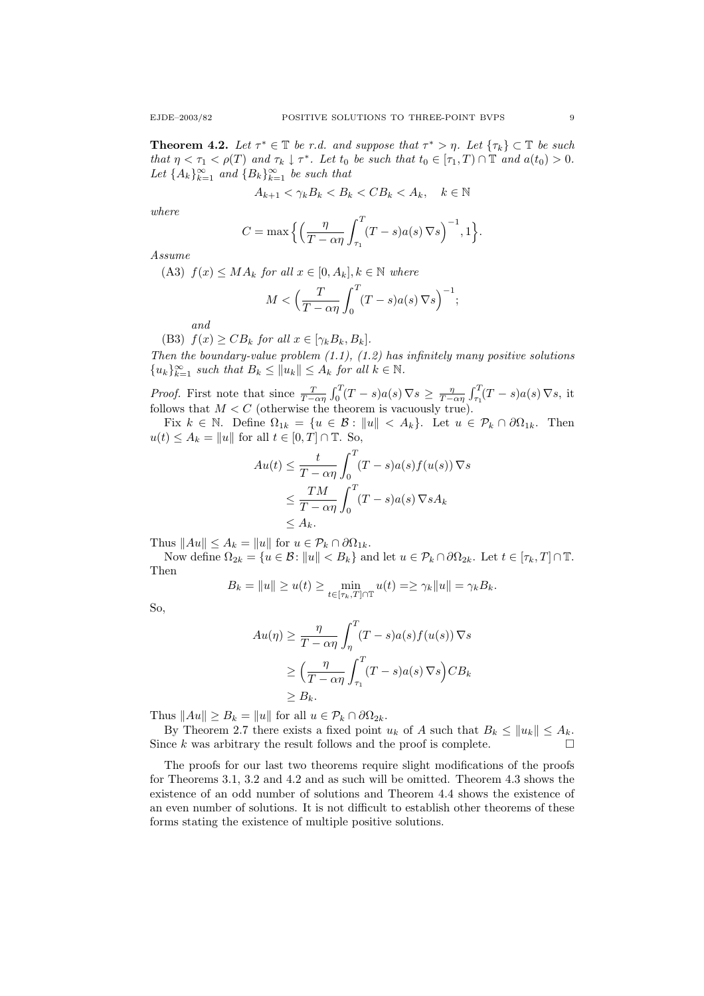**Theorem 4.2.** Let  $\tau^* \in \mathbb{T}$  be r.d. and suppose that  $\tau^* > \eta$ . Let  $\{\tau_k\} \subset \mathbb{T}$  be such that  $\eta < \tau_1 < \rho(T)$  and  $\tau_k \downarrow \tau^*$ . Let  $t_0$  be such that  $t_0 \in [\tau_1, T] \cap \mathbb{T}$  and  $a(t_0) > 0$ . Let  ${A_k}_{k=1}^{\infty}$  and  ${B_k}_{k=1}^{\infty}$  be such that

$$
A_{k+1} < \gamma_k B_k < B_k < C B_k < A_k, \quad k \in \mathbb{N}
$$

where

$$
C = \max\Big\{\Big(\frac{\eta}{T - \alpha \eta} \int_{\tau_1}^T (T - s) a(s) \nabla s \Big)^{-1}, 1\Big\}.
$$

Assume

(A3)  $f(x) \leq MA_k$  for all  $x \in [0, A_k]$ ,  $k \in \mathbb{N}$  where

$$
M < \left(\frac{T}{T - \alpha \eta} \int_0^T (T - s) a(s) \, \nabla s\right)^{-1};
$$

and

(B3)  $f(x) \geq CB_k$  for all  $x \in [\gamma_k B_k, B_k]$ .

Then the boundary-value problem  $(1.1)$ ,  $(1.2)$  has infinitely many positive solutions  ${u_k}_{k=1}^{\infty}$  such that  $B_k \le ||u_k|| \le A_k$  for all  $k \in \mathbb{N}$ .

*Proof.* First note that since  $\frac{T}{T-\alpha\eta} \int_0^T (T-s)a(s) \nabla s \ge \frac{\eta}{T-\alpha\eta} \int_{\tau_1}^T (T-s)a(s) \nabla s$ , it follows that  $M < C$  (otherwise the theorem is vacuously true).

Fix  $k \in \mathbb{N}$ . Define  $\Omega_{1k} = \{u \in \mathcal{B} : ||u|| < A_k\}$ . Let  $u \in \mathcal{P}_k \cap \partial \Omega_{1k}$ . Then  $u(t) \leq A_k = ||u||$  for all  $t \in [0, T] \cap \mathbb{T}$ . So,

$$
Au(t) \leq \frac{t}{T - \alpha \eta} \int_0^T (T - s)a(s)f(u(s)) \nabla s
$$
  

$$
\leq \frac{TM}{T - \alpha \eta} \int_0^T (T - s)a(s) \nabla s A_k
$$
  

$$
\leq A_k.
$$

Thus  $||Au|| \leq A_k = ||u||$  for  $u \in \mathcal{P}_k \cap \partial \Omega_{1k}$ .

Now define  $\Omega_{2k} = \{u \in \mathcal{B}: ||u|| < B_k\}$  and let  $u \in \mathcal{P}_k \cap \partial\Omega_{2k}$ . Let  $t \in [\tau_k, T] \cap \mathbb{T}$ . Then

$$
B_k = \|u\| \ge u(t) \ge \min_{t \in [\tau_k, T] \cap \mathbb{T}} u(t) = \ge \gamma_k \|u\| = \gamma_k B_k.
$$

So,

$$
Au(\eta) \ge \frac{\eta}{T - \alpha \eta} \int_{\eta}^{T} (T - s)a(s)f(u(s)) \nabla s
$$
  
\n
$$
\ge \left(\frac{\eta}{T - \alpha \eta} \int_{\tau_1}^{T} (T - s)a(s) \nabla s\right) C B_k
$$
  
\n
$$
\ge B_k.
$$

Thus  $||Au|| \ge B_k = ||u||$  for all  $u \in \mathcal{P}_k \cap \partial \Omega_{2k}$ .

By Theorem 2.7 there exists a fixed point  $u_k$  of A such that  $B_k \le ||u_k|| \le A_k$ . Since k was arbitrary the result follows and the proof is complete.  $\Box$ 

The proofs for our last two theorems require slight modifications of the proofs for Theorems 3.1, 3.2 and 4.2 and as such will be omitted. Theorem 4.3 shows the existence of an odd number of solutions and Theorem 4.4 shows the existence of an even number of solutions. It is not difficult to establish other theorems of these forms stating the existence of multiple positive solutions.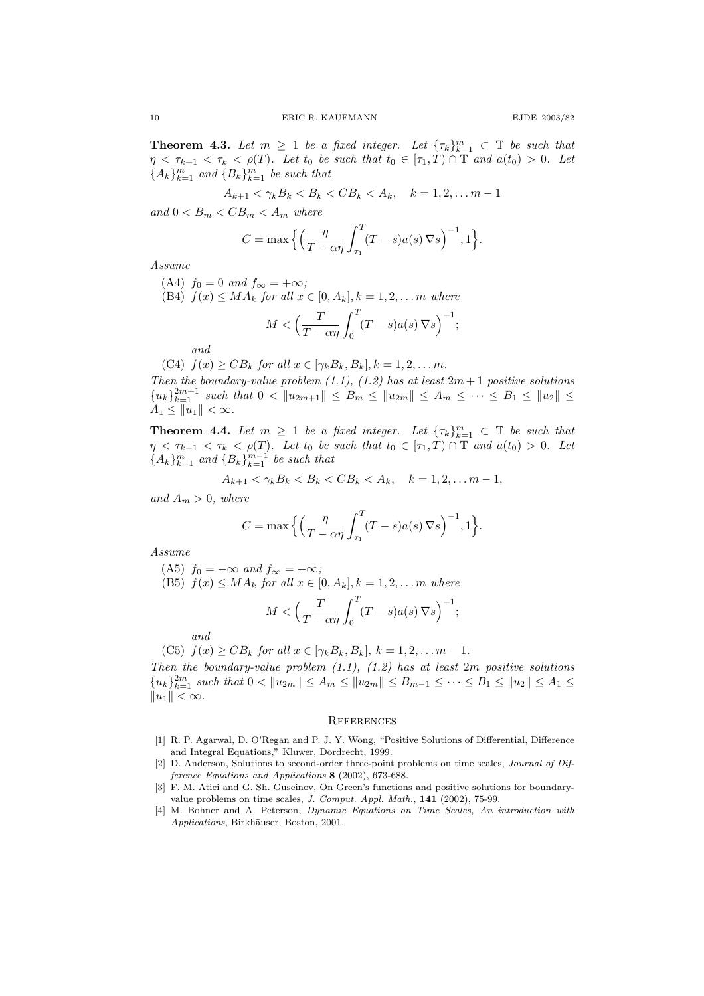**Theorem 4.3.** Let  $m \geq 1$  be a fixed integer. Let  $\{\tau_k\}_{k=1}^m \subset \mathbb{T}$  be such that  $\eta < \tau_{k+1} < \tau_k < \rho(T)$ . Let  $t_0$  be such that  $t_0 \in [\tau_1, T] \cap \mathbb{T}$  and  $a(t_0) > 0$ . Let  ${A_k}_{k=1}^m$  and  ${B_k}_{k=1}^m$  be such that

$$
A_{k+1} < \gamma_k B_k < B_k < C B_k < A_k, \quad k = 1, 2, \dots m - 1
$$

and  $0 < B_m < CB_m < A_m$  where

$$
C = \max\Big\{\Big(\frac{\eta}{T - \alpha \eta} \int_{\tau_1}^T (T - s) a(s) \, \nabla s \Big)^{-1}, 1\Big\}.
$$

Assume

(A4)  $f_0 = 0$  and  $f_\infty = +\infty$ ;

(B4)  $f(x) \leq MA_k$  for all  $x \in [0, A_k]$ ,  $k = 1, 2, \ldots m$  where

$$
M < \left(\frac{T}{T - \alpha \eta} \int_0^T (T - s) a(s) \nabla s\right)^{-1};
$$

and

(C4)  $f(x) \geq CB_k$  for all  $x \in [\gamma_k B_k, B_k], k = 1, 2, \ldots m$ .

Then the boundary-value problem (1.1), (1.2) has at least  $2m + 1$  positive solutions  ${u_k}_{k=1}^{2m+1}$  such that  $0 < ||u_{2m+1}|| \le B_m \le ||u_{2m}|| \le A_m \le \cdots \le B_1 \le ||u_2|| \le$  $A_1 \le ||u_1|| < \infty.$ 

**Theorem 4.4.** Let  $m \geq 1$  be a fixed integer. Let  $\{\tau_k\}_{k=1}^m \subset \mathbb{T}$  be such that  $\eta < \tau_{k+1} < \tau_k < \rho(T)$ . Let  $t_0$  be such that  $t_0 \in [\tau_1, T) \cap \mathbb{T}$  and  $a(t_0) > 0$ . Let  ${A_k}_{k=1}^m$  and  ${B_k}_{k=1}^{m-1}$  be such that

$$
A_{k+1} < \gamma_k B_k < B_k < C B_k < A_k, \quad k = 1, 2, \dots m - 1,
$$

and  $A_m > 0$ , where

$$
C = \max\Big\{\Big(\frac{\eta}{T - \alpha\eta} \int_{\tau_1}^T (T - s) a(s) \nabla s\Big)^{-1}, 1\Big\}.
$$

Assume

(A5)  $f_0 = +\infty$  and  $f_\infty = +\infty$ ;

(B5)  $f(x) \leq MA_k$  for all  $x \in [0, A_k]$ ,  $k = 1, 2, \ldots m$  where

$$
M < \left(\frac{T}{T - \alpha \eta} \int_0^T (T - s) a(s) \, \nabla s\right)^{-1};
$$

and

(C5) 
$$
f(x) \geq CB_k
$$
 for all  $x \in [\gamma_k B_k, B_k]$ ,  $k = 1, 2, \dots m - 1$ .

Then the boundary-value problem  $(1.1)$ ,  $(1.2)$  has at least  $2m$  positive solutions  ${u_k}_{k=1}^{2m}$  such that  $0 < ||u_{2m}|| \leq A_m \leq ||u_{2m}|| \leq B_{m-1} \leq \cdots \leq B_1 \leq ||u_2|| \leq A_1 \leq$  $||u_1|| < \infty$ .

#### **REFERENCES**

- [1] R. P. Agarwal, D. O'Regan and P. J. Y. Wong, "Positive Solutions of Differential, Difference and Integral Equations," Kluwer, Dordrecht, 1999.
- [2] D. Anderson, Solutions to second-order three-point problems on time scales, Journal of Difference Equations and Applications 8 (2002), 673-688.
- [3] F. M. Atici and G. Sh. Guseinov, On Green's functions and positive solutions for boundaryvalue problems on time scales, J. Comput. Appl. Math., 141 (2002), 75-99.
- [4] M. Bohner and A. Peterson, Dynamic Equations on Time Scales, An introduction with Applications, Birkhäuser, Boston, 2001.